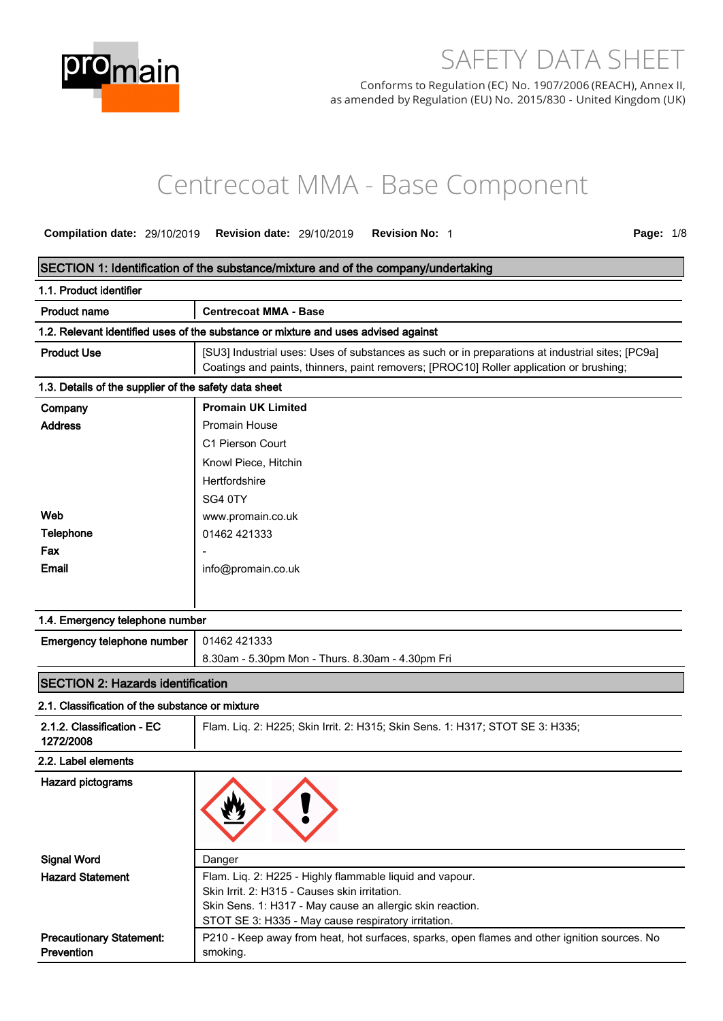

# SAFETY DATA SHEET

Conforms to Regulation (EC) No. 1907/2006 (REACH), Annex II, as amended by Regulation (EU) No. 2015/830 - United Kingdom (UK)

# Centrecoat MMA - Base Component

**Compilation date:** 29/10/2019 **Revision date:** 29/10/2019 **Revision No:** 1 **Page:** 1/8

## **SECTION 1: Identification of the substance/mixture and of the company/undertaking**

| 1.1. Product identifier                               |                                                                                                                                                                                             |
|-------------------------------------------------------|---------------------------------------------------------------------------------------------------------------------------------------------------------------------------------------------|
| <b>Product name</b>                                   | <b>Centrecoat MMA - Base</b>                                                                                                                                                                |
|                                                       | 1.2. Relevant identified uses of the substance or mixture and uses advised against                                                                                                          |
| <b>Product Use</b>                                    | [SU3] Industrial uses: Uses of substances as such or in preparations at industrial sites; [PC9a]<br>Coatings and paints, thinners, paint removers; [PROC10] Roller application or brushing; |
| 1.3. Details of the supplier of the safety data sheet |                                                                                                                                                                                             |
| Company                                               | <b>Promain UK Limited</b>                                                                                                                                                                   |
| <b>Address</b>                                        | <b>Promain House</b>                                                                                                                                                                        |
|                                                       | C1 Pierson Court                                                                                                                                                                            |
|                                                       | Knowl Piece, Hitchin                                                                                                                                                                        |
|                                                       | Hertfordshire                                                                                                                                                                               |
|                                                       | SG4 0TY                                                                                                                                                                                     |
| Web                                                   | www.promain.co.uk                                                                                                                                                                           |
| Telephone                                             | 01462 421333                                                                                                                                                                                |
| Fax                                                   |                                                                                                                                                                                             |
| Email                                                 | info@promain.co.uk                                                                                                                                                                          |
|                                                       |                                                                                                                                                                                             |

| 1.4. Emergency telephone number                  |                                                  |  |
|--------------------------------------------------|--------------------------------------------------|--|
| <b>Emergency telephone number</b>   01462 421333 |                                                  |  |
|                                                  | 8.30am - 5.30pm Mon - Thurs. 8.30am - 4.30pm Fri |  |
|                                                  |                                                  |  |

## **SECTION 2: Hazards identification**

## **2.1. Classification of the substance or mixture**

| 2.1.2. Classification - EC<br>1272/2008              | Flam. Liq. 2: H225; Skin Irrit. 2: H315; Skin Sens. 1: H317; STOT SE 3: H335;                            |
|------------------------------------------------------|----------------------------------------------------------------------------------------------------------|
| 2.2. Label elements                                  |                                                                                                          |
| Hazard pictograms                                    |                                                                                                          |
| <b>Signal Word</b>                                   | Danger                                                                                                   |
| <b>Hazard Statement</b>                              | Flam. Liq. 2: H225 - Highly flammable liquid and vapour.                                                 |
|                                                      | Skin Irrit. 2: H315 - Causes skin irritation.                                                            |
|                                                      | Skin Sens. 1: H317 - May cause an allergic skin reaction.                                                |
|                                                      | STOT SE 3: H335 - May cause respiratory irritation.                                                      |
| <b>Precautionary Statement:</b><br><b>Prevention</b> | P210 - Keep away from heat, hot surfaces, sparks, open flames and other ignition sources. No<br>smoking. |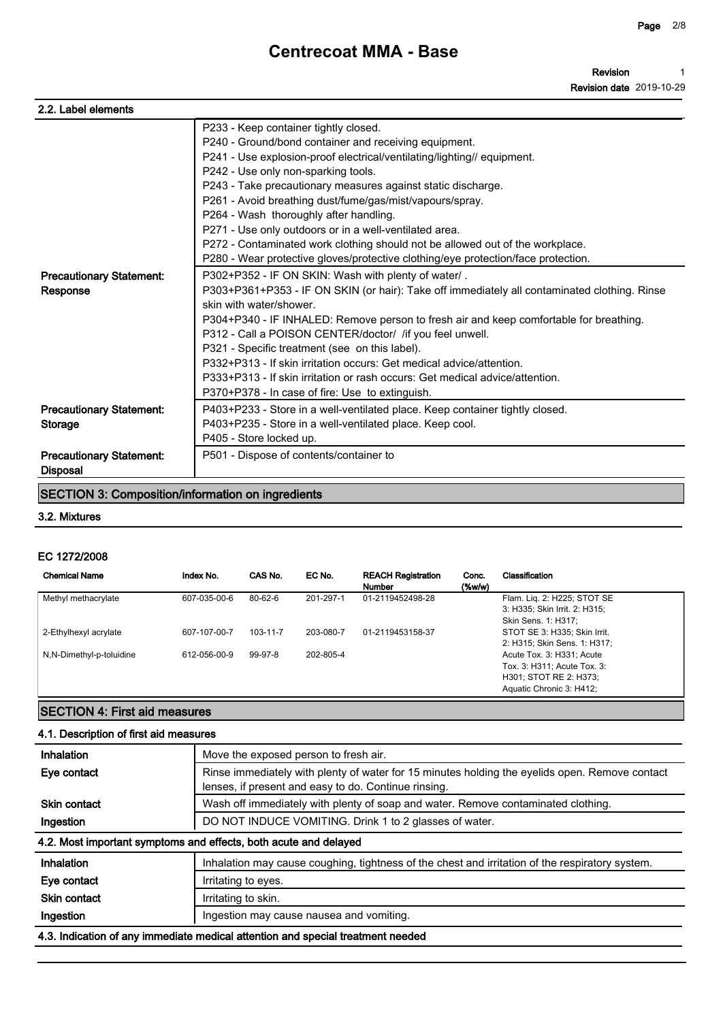| 2.2. Label elements             |                                                                                              |
|---------------------------------|----------------------------------------------------------------------------------------------|
|                                 | P233 - Keep container tightly closed.                                                        |
|                                 | P240 - Ground/bond container and receiving equipment.                                        |
|                                 | P241 - Use explosion-proof electrical/ventilating/lighting// equipment.                      |
|                                 | P242 - Use only non-sparking tools.                                                          |
|                                 | P243 - Take precautionary measures against static discharge.                                 |
|                                 | P261 - Avoid breathing dust/fume/gas/mist/vapours/spray.                                     |
|                                 | P264 - Wash thoroughly after handling.                                                       |
|                                 | P271 - Use only outdoors or in a well-ventilated area.                                       |
|                                 | P272 - Contaminated work clothing should not be allowed out of the workplace.                |
|                                 | P280 - Wear protective gloves/protective clothing/eye protection/face protection.            |
| <b>Precautionary Statement:</b> | P302+P352 - IF ON SKIN: Wash with plenty of water/.                                          |
| Response                        | P303+P361+P353 - IF ON SKIN (or hair): Take off immediately all contaminated clothing. Rinse |
|                                 | skin with water/shower.                                                                      |
|                                 | P304+P340 - IF INHALED: Remove person to fresh air and keep comfortable for breathing.       |
|                                 | P312 - Call a POISON CENTER/doctor/ /if you feel unwell.                                     |
|                                 | P321 - Specific treatment (see on this label).                                               |
|                                 | P332+P313 - If skin irritation occurs: Get medical advice/attention.                         |
|                                 | P333+P313 - If skin irritation or rash occurs: Get medical advice/attention.                 |
|                                 | P370+P378 - In case of fire: Use to extinguish.                                              |
| <b>Precautionary Statement:</b> | P403+P233 - Store in a well-ventilated place. Keep container tightly closed.                 |
| <b>Storage</b>                  | P403+P235 - Store in a well-ventilated place. Keep cool.                                     |
|                                 | P405 - Store locked up.                                                                      |
| <b>Precautionary Statement:</b> | P501 - Dispose of contents/container to                                                      |
| <b>Disposal</b>                 |                                                                                              |

## **SECTION 3: Composition/information on ingredients**

### **3.2. Mixtures**

### **EC 1272/2008**

| <b>Precautionary Statement:</b><br><b>Disposal</b>       |              | P501 - Dispose of contents/container to |           |                                            |                 |                                                                                                                |
|----------------------------------------------------------|--------------|-----------------------------------------|-----------|--------------------------------------------|-----------------|----------------------------------------------------------------------------------------------------------------|
| <b>SECTION 3: Composition/information on ingredients</b> |              |                                         |           |                                            |                 |                                                                                                                |
| 3.2. Mixtures                                            |              |                                         |           |                                            |                 |                                                                                                                |
| EC 1272/2008<br><b>Chemical Name</b>                     | Index No.    | CAS No.                                 | EC No.    | <b>REACH Registration</b><br><b>Number</b> | Conc.<br>(%w/w) | Classification                                                                                                 |
| Methyl methacrylate                                      | 607-035-00-6 | 80-62-6                                 | 201-297-1 | 01-2119452498-28                           |                 | Flam. Lig. 2: H225; STOT SE<br>3: H335; Skin Irrit. 2: H315;<br>Skin Sens. 1: H317;                            |
| 2-Ethylhexyl acrylate                                    | 607-107-00-7 | 103-11-7                                | 203-080-7 | 01-2119453158-37                           |                 | STOT SE 3: H335; Skin Irrit.<br>2: H315; Skin Sens. 1: H317;                                                   |
| N,N-Dimethyl-p-toluidine                                 | 612-056-00-9 | 99-97-8                                 | 202-805-4 |                                            |                 | Acute Tox. 3: H331; Acute<br>Tox. 3: H311; Acute Tox. 3:<br>H301; STOT RE 2: H373;<br>Aquatic Chronic 3: H412; |

## **SECTION 4: First aid measures**

## **4.1. Description of first aid measures**

| Inhalation          | Move the exposed person to fresh air.                                                                                                                  |
|---------------------|--------------------------------------------------------------------------------------------------------------------------------------------------------|
| Eye contact         | Rinse immediately with plenty of water for 15 minutes holding the eyelids open. Remove contact<br>lenses, if present and easy to do. Continue rinsing. |
| <b>Skin contact</b> | Wash off immediately with plenty of soap and water. Remove contaminated clothing.                                                                      |
| Ingestion           | DO NOT INDUCE VOMITING. Drink 1 to 2 glasses of water.                                                                                                 |
|                     | 4.2. Most important symptoms and effects, both acute and delayed                                                                                       |
| Inhalation          | Inhalation may cause coughing, tightness of the chest and irritation of the respiratory system.                                                        |
| Eye contact         | Irritating to eyes.                                                                                                                                    |
| <b>Skin contact</b> | Irritating to skin.                                                                                                                                    |
| Ingestion           | Ingestion may cause nausea and vomiting.                                                                                                               |
|                     | 4.3. Indication of any immediate medical attention and special treatment needed                                                                        |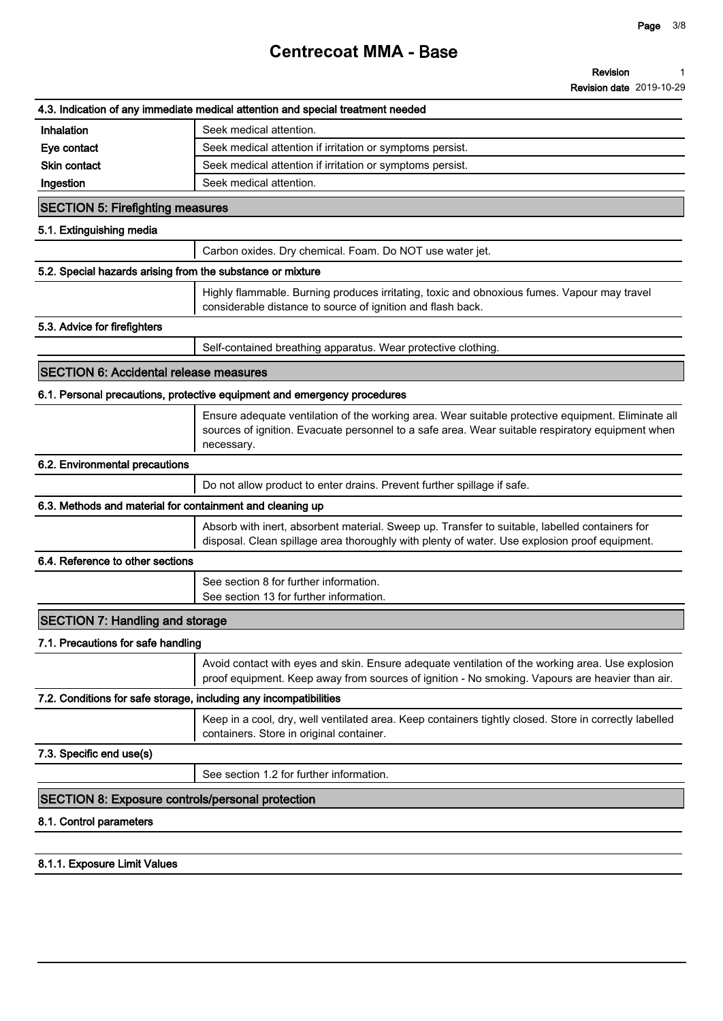### **Page 3/8**

## **Centrecoat MMA - Base**

|                                                            | 4.3. Indication of any immediate medical attention and special treatment needed                                                                                                                                      |
|------------------------------------------------------------|----------------------------------------------------------------------------------------------------------------------------------------------------------------------------------------------------------------------|
| Inhalation                                                 | Seek medical attention.                                                                                                                                                                                              |
| Eye contact                                                | Seek medical attention if irritation or symptoms persist.                                                                                                                                                            |
| <b>Skin contact</b>                                        | Seek medical attention if irritation or symptoms persist.                                                                                                                                                            |
| Ingestion                                                  | Seek medical attention.                                                                                                                                                                                              |
| <b>SECTION 5: Firefighting measures</b>                    |                                                                                                                                                                                                                      |
| 5.1. Extinguishing media                                   |                                                                                                                                                                                                                      |
|                                                            | Carbon oxides. Dry chemical. Foam. Do NOT use water jet.                                                                                                                                                             |
| 5.2. Special hazards arising from the substance or mixture |                                                                                                                                                                                                                      |
|                                                            | Highly flammable. Burning produces irritating, toxic and obnoxious fumes. Vapour may travel<br>considerable distance to source of ignition and flash back.                                                           |
| 5.3. Advice for firefighters                               |                                                                                                                                                                                                                      |
|                                                            | Self-contained breathing apparatus. Wear protective clothing.                                                                                                                                                        |
| <b>SECTION 6: Accidental release measures</b>              |                                                                                                                                                                                                                      |
|                                                            | 6.1. Personal precautions, protective equipment and emergency procedures                                                                                                                                             |
|                                                            | Ensure adequate ventilation of the working area. Wear suitable protective equipment. Eliminate all<br>sources of ignition. Evacuate personnel to a safe area. Wear suitable respiratory equipment when<br>necessary. |
| 6.2. Environmental precautions                             |                                                                                                                                                                                                                      |
|                                                            | Do not allow product to enter drains. Prevent further spillage if safe.                                                                                                                                              |
| 6.3. Methods and material for containment and cleaning up  |                                                                                                                                                                                                                      |
|                                                            | Absorb with inert, absorbent material. Sweep up. Transfer to suitable, labelled containers for<br>disposal. Clean spillage area thoroughly with plenty of water. Use explosion proof equipment.                      |
| 6.4. Reference to other sections                           |                                                                                                                                                                                                                      |
|                                                            | See section 8 for further information.<br>See section 13 for further information.                                                                                                                                    |
| <b>SECTION 7: Handling and storage</b>                     |                                                                                                                                                                                                                      |
| 7.1. Precautions for safe handling                         |                                                                                                                                                                                                                      |
|                                                            | Avoid contact with eyes and skin. Ensure adequate ventilation of the working area. Use explosion<br>proof equipment. Keep away from sources of ignition - No smoking. Vapours are heavier than air.                  |
|                                                            | 7.2. Conditions for safe storage, including any incompatibilities                                                                                                                                                    |
|                                                            | Keep in a cool, dry, well ventilated area. Keep containers tightly closed. Store in correctly labelled<br>containers. Store in original container.                                                                   |
| 7.3. Specific end use(s)                                   |                                                                                                                                                                                                                      |
|                                                            | See section 1.2 for further information.                                                                                                                                                                             |
|                                                            |                                                                                                                                                                                                                      |
| <b>SECTION 8: Exposure controls/personal protection</b>    |                                                                                                                                                                                                                      |

**8.1.1. Exposure Limit Values**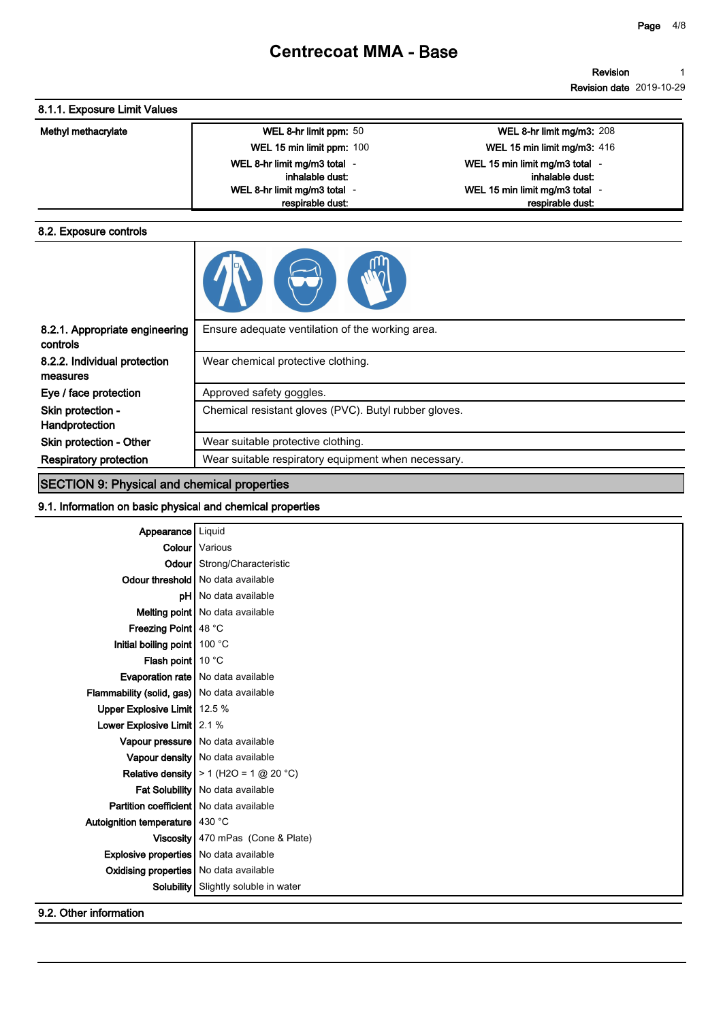#### **Revision Revision date 2019-10-29 1**

## **8.1.1. Exposure Limit Values**

| Methyl methacrylate | WEL 8-hr limit ppm: 50       | <b>WEL 8-hr limit mg/m3: 208</b> |
|---------------------|------------------------------|----------------------------------|
|                     | WEL 15 min limit ppm: 100    | WEL 15 min limit mg/m3: 416      |
|                     | WEL 8-hr limit mg/m3 total - | WEL 15 min limit mg/m3 total     |
|                     | inhalable dust:              | inhalable dust:                  |
|                     | WEL 8-hr limit mg/m3 total   | WEL 15 min limit mg/m3 total     |
|                     | respirable dust:             | respirable dust.                 |

### **8.2. Exposure controls**

|--|

| 8.2.1. Appropriate engineering<br>controls | Ensure adequate ventilation of the working area.      |
|--------------------------------------------|-------------------------------------------------------|
| 8.2.2. Individual protection               | Wear chemical protective clothing.                    |
| measures                                   |                                                       |
| Eye / face protection                      | Approved safety goggles.                              |
| Skin protection -                          | Chemical resistant gloves (PVC). Butyl rubber gloves. |
| Handprotection                             |                                                       |
| Skin protection - Other                    | Wear suitable protective clothing.                    |
| <b>Respiratory protection</b>              | Wear suitable respiratory equipment when necessary.   |
|                                            |                                                       |

## **SECTION 9: Physical and chemical properties**

## **9.1. Information on basic physical and chemical properties**

| Appearance                                       | Liquid                                            |
|--------------------------------------------------|---------------------------------------------------|
|                                                  | <b>Colour</b> Various                             |
|                                                  | <b>Odour</b> Strong/Characteristic                |
|                                                  | Odour threshold   No data available               |
|                                                  | pH   No data available                            |
|                                                  | Melting point   No data available                 |
| Freezing Point   48 °C                           |                                                   |
| Initial boiling point $100^{\circ}$ C            |                                                   |
| Flash point $10^{\circ}$ C                       |                                                   |
|                                                  | Evaporation rate   No data available              |
| Flammability (solid, gas) No data available      |                                                   |
| Upper Explosive Limit   12.5 %                   |                                                   |
| Lower Explosive Limit   2.1 %                    |                                                   |
|                                                  | Vapour pressure   No data available               |
|                                                  | Vapour density   No data available                |
|                                                  | <b>Relative density</b>   $> 1$ (H2O = 1 @ 20 °C) |
|                                                  | <b>Fat Solubility</b> No data available           |
| <b>Partition coefficient   No data available</b> |                                                   |
| Autoignition temperature   430 °C                |                                                   |
| Viscosity                                        | 470 mPas (Cone & Plate)                           |
| <b>Explosive properties</b>   No data available  |                                                   |
| Oxidising properties   No data available         |                                                   |
| <b>Solubility</b>                                | Slightly soluble in water                         |
|                                                  |                                                   |

**9.2. Other information**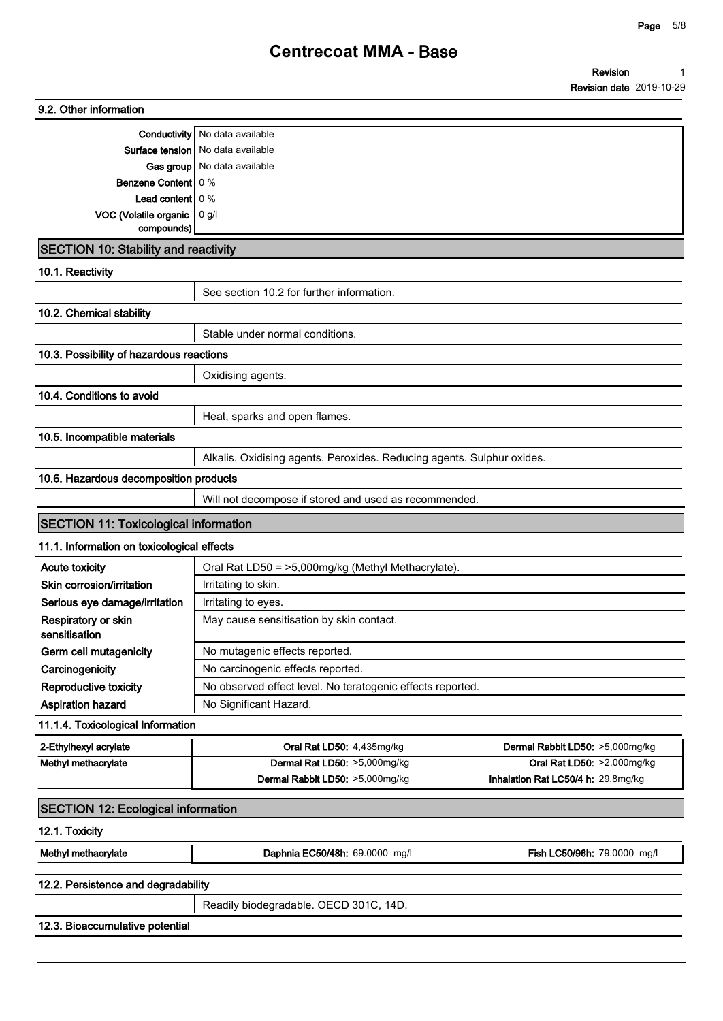**Revision 1**

|                                              |                                                                        | <b>Revision date 2019-10-29</b>    |  |
|----------------------------------------------|------------------------------------------------------------------------|------------------------------------|--|
| 9.2. Other information                       |                                                                        |                                    |  |
|                                              | Conductivity   No data available                                       |                                    |  |
|                                              | Surface tension   No data available                                    |                                    |  |
|                                              | Gas group   No data available                                          |                                    |  |
| <b>Benzene Content   0 %</b>                 |                                                                        |                                    |  |
| <b>Lead content</b> $0\%$                    |                                                                        |                                    |  |
| VOC (Volatile organic                        | 0 g/l                                                                  |                                    |  |
| compounds)                                   |                                                                        |                                    |  |
| <b>SECTION 10: Stability and reactivity</b>  |                                                                        |                                    |  |
| 10.1. Reactivity                             |                                                                        |                                    |  |
|                                              | See section 10.2 for further information.                              |                                    |  |
| 10.2. Chemical stability                     |                                                                        |                                    |  |
|                                              | Stable under normal conditions.                                        |                                    |  |
| 10.3. Possibility of hazardous reactions     |                                                                        |                                    |  |
|                                              | Oxidising agents.                                                      |                                    |  |
| 10.4. Conditions to avoid                    |                                                                        |                                    |  |
|                                              | Heat, sparks and open flames.                                          |                                    |  |
| 10.5. Incompatible materials                 |                                                                        |                                    |  |
|                                              | Alkalis. Oxidising agents. Peroxides. Reducing agents. Sulphur oxides. |                                    |  |
| 10.6. Hazardous decomposition products       |                                                                        |                                    |  |
|                                              | Will not decompose if stored and used as recommended.                  |                                    |  |
| <b>SECTION 11: Toxicological information</b> |                                                                        |                                    |  |
| 11.1. Information on toxicological effects   |                                                                        |                                    |  |
| <b>Acute toxicity</b>                        | Oral Rat LD50 = >5,000mg/kg (Methyl Methacrylate).                     |                                    |  |
| Skin corrosion/irritation                    | Irritating to skin.                                                    |                                    |  |
| Serious eye damage/irritation                | Irritating to eyes.                                                    |                                    |  |
| Respiratory or skin                          | May cause sensitisation by skin contact.                               |                                    |  |
| sensitisation<br>Germ cell mutagenicity      | No mutagenic effects reported.                                         |                                    |  |
| Carcinogenicity                              | No carcinogenic effects reported.                                      |                                    |  |
| Reproductive toxicity                        | No observed effect level. No teratogenic effects reported.             |                                    |  |
| Aspiration hazard                            | No Significant Hazard.                                                 |                                    |  |
| 11.1.4. Toxicological Information            |                                                                        |                                    |  |
| 2-Ethylhexyl acrylate                        | Oral Rat LD50: 4,435mg/kg                                              | Dermal Rabbit LD50: >5,000mg/kg    |  |
| Methyl methacrylate                          | Dermal Rat LD50: >5,000mg/kg                                           | Oral Rat LD50: >2,000mg/kg         |  |
|                                              | Dermal Rabbit LD50: >5,000mg/kg                                        | Inhalation Rat LC50/4 h: 29.8mg/kg |  |
| <b>SECTION 12: Ecological information</b>    |                                                                        |                                    |  |
| 12.1. Toxicity                               |                                                                        |                                    |  |
|                                              |                                                                        |                                    |  |
| Methyl methacrylate                          | Daphnia EC50/48h: 69.0000 mg/l                                         | Fish LC50/96h: 79.0000 mg/l        |  |
| 12.2. Persistence and degradability          |                                                                        |                                    |  |
|                                              | Readily biodegradable. OECD 301C, 14D.                                 |                                    |  |
| 12.3. Bioaccumulative potential              |                                                                        |                                    |  |
|                                              |                                                                        |                                    |  |
|                                              |                                                                        |                                    |  |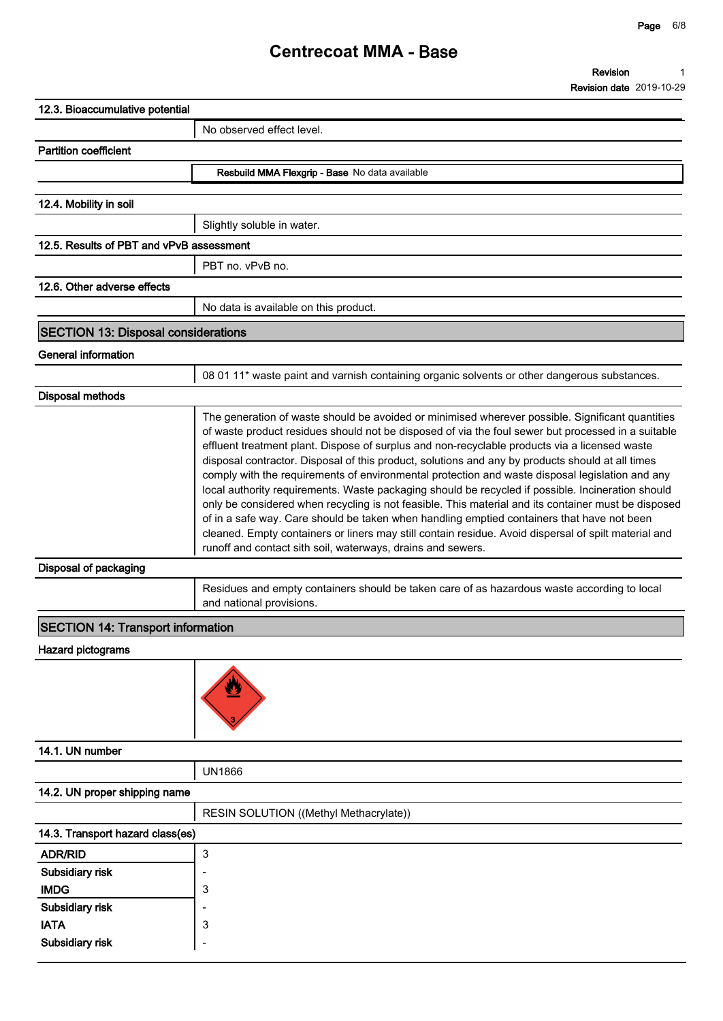| 12.3. Bioaccumulative potential            |                                                                                                                                                                                                                                                                                                                                                                                                                                                                                                                                                                                                                                                                                                                                                                                                                                                                                                                                                                                                 |
|--------------------------------------------|-------------------------------------------------------------------------------------------------------------------------------------------------------------------------------------------------------------------------------------------------------------------------------------------------------------------------------------------------------------------------------------------------------------------------------------------------------------------------------------------------------------------------------------------------------------------------------------------------------------------------------------------------------------------------------------------------------------------------------------------------------------------------------------------------------------------------------------------------------------------------------------------------------------------------------------------------------------------------------------------------|
|                                            | No observed effect level.                                                                                                                                                                                                                                                                                                                                                                                                                                                                                                                                                                                                                                                                                                                                                                                                                                                                                                                                                                       |
| <b>Partition coefficient</b>               |                                                                                                                                                                                                                                                                                                                                                                                                                                                                                                                                                                                                                                                                                                                                                                                                                                                                                                                                                                                                 |
|                                            | Resbuild MMA Flexgrip - Base No data available                                                                                                                                                                                                                                                                                                                                                                                                                                                                                                                                                                                                                                                                                                                                                                                                                                                                                                                                                  |
| 12.4. Mobility in soil                     |                                                                                                                                                                                                                                                                                                                                                                                                                                                                                                                                                                                                                                                                                                                                                                                                                                                                                                                                                                                                 |
|                                            | Slightly soluble in water.                                                                                                                                                                                                                                                                                                                                                                                                                                                                                                                                                                                                                                                                                                                                                                                                                                                                                                                                                                      |
| 12.5. Results of PBT and vPvB assessment   |                                                                                                                                                                                                                                                                                                                                                                                                                                                                                                                                                                                                                                                                                                                                                                                                                                                                                                                                                                                                 |
|                                            | PBT no. vPvB no.                                                                                                                                                                                                                                                                                                                                                                                                                                                                                                                                                                                                                                                                                                                                                                                                                                                                                                                                                                                |
| 12.6. Other adverse effects                |                                                                                                                                                                                                                                                                                                                                                                                                                                                                                                                                                                                                                                                                                                                                                                                                                                                                                                                                                                                                 |
|                                            |                                                                                                                                                                                                                                                                                                                                                                                                                                                                                                                                                                                                                                                                                                                                                                                                                                                                                                                                                                                                 |
|                                            | No data is available on this product.                                                                                                                                                                                                                                                                                                                                                                                                                                                                                                                                                                                                                                                                                                                                                                                                                                                                                                                                                           |
| <b>SECTION 13: Disposal considerations</b> |                                                                                                                                                                                                                                                                                                                                                                                                                                                                                                                                                                                                                                                                                                                                                                                                                                                                                                                                                                                                 |
| <b>General information</b>                 |                                                                                                                                                                                                                                                                                                                                                                                                                                                                                                                                                                                                                                                                                                                                                                                                                                                                                                                                                                                                 |
|                                            | 08 01 11 <sup>*</sup> waste paint and varnish containing organic solvents or other dangerous substances.                                                                                                                                                                                                                                                                                                                                                                                                                                                                                                                                                                                                                                                                                                                                                                                                                                                                                        |
| <b>Disposal methods</b>                    |                                                                                                                                                                                                                                                                                                                                                                                                                                                                                                                                                                                                                                                                                                                                                                                                                                                                                                                                                                                                 |
|                                            | The generation of waste should be avoided or minimised wherever possible. Significant quantities<br>of waste product residues should not be disposed of via the foul sewer but processed in a suitable<br>effluent treatment plant. Dispose of surplus and non-recyclable products via a licensed waste<br>disposal contractor. Disposal of this product, solutions and any by products should at all times<br>comply with the requirements of environmental protection and waste disposal legislation and any<br>local authority requirements. Waste packaging should be recycled if possible. Incineration should<br>only be considered when recycling is not feasible. This material and its container must be disposed<br>of in a safe way. Care should be taken when handling emptied containers that have not been<br>cleaned. Empty containers or liners may still contain residue. Avoid dispersal of spilt material and<br>runoff and contact sith soil, waterways, drains and sewers. |
| Disposal of packaging                      |                                                                                                                                                                                                                                                                                                                                                                                                                                                                                                                                                                                                                                                                                                                                                                                                                                                                                                                                                                                                 |
|                                            | Residues and empty containers should be taken care of as hazardous waste according to local<br>and national provisions.                                                                                                                                                                                                                                                                                                                                                                                                                                                                                                                                                                                                                                                                                                                                                                                                                                                                         |
| <b>SECTION 14: Transport information</b>   |                                                                                                                                                                                                                                                                                                                                                                                                                                                                                                                                                                                                                                                                                                                                                                                                                                                                                                                                                                                                 |
| <b>Hazard pictograms</b>                   |                                                                                                                                                                                                                                                                                                                                                                                                                                                                                                                                                                                                                                                                                                                                                                                                                                                                                                                                                                                                 |
|                                            |                                                                                                                                                                                                                                                                                                                                                                                                                                                                                                                                                                                                                                                                                                                                                                                                                                                                                                                                                                                                 |
| 14.1. UN number                            |                                                                                                                                                                                                                                                                                                                                                                                                                                                                                                                                                                                                                                                                                                                                                                                                                                                                                                                                                                                                 |
|                                            | <b>UN1866</b>                                                                                                                                                                                                                                                                                                                                                                                                                                                                                                                                                                                                                                                                                                                                                                                                                                                                                                                                                                                   |
| 14.2. UN proper shipping name              |                                                                                                                                                                                                                                                                                                                                                                                                                                                                                                                                                                                                                                                                                                                                                                                                                                                                                                                                                                                                 |
|                                            | RESIN SOLUTION ((Methyl Methacrylate))                                                                                                                                                                                                                                                                                                                                                                                                                                                                                                                                                                                                                                                                                                                                                                                                                                                                                                                                                          |
| 14.3. Transport hazard class(es)           |                                                                                                                                                                                                                                                                                                                                                                                                                                                                                                                                                                                                                                                                                                                                                                                                                                                                                                                                                                                                 |
| <b>ADR/RID</b>                             | 3                                                                                                                                                                                                                                                                                                                                                                                                                                                                                                                                                                                                                                                                                                                                                                                                                                                                                                                                                                                               |
| Subsidiary risk                            |                                                                                                                                                                                                                                                                                                                                                                                                                                                                                                                                                                                                                                                                                                                                                                                                                                                                                                                                                                                                 |
| <b>IMDG</b>                                | 3                                                                                                                                                                                                                                                                                                                                                                                                                                                                                                                                                                                                                                                                                                                                                                                                                                                                                                                                                                                               |
| Subsidiary risk                            |                                                                                                                                                                                                                                                                                                                                                                                                                                                                                                                                                                                                                                                                                                                                                                                                                                                                                                                                                                                                 |
| <b>IATA</b>                                | 3                                                                                                                                                                                                                                                                                                                                                                                                                                                                                                                                                                                                                                                                                                                                                                                                                                                                                                                                                                                               |
| Subsidiary risk                            |                                                                                                                                                                                                                                                                                                                                                                                                                                                                                                                                                                                                                                                                                                                                                                                                                                                                                                                                                                                                 |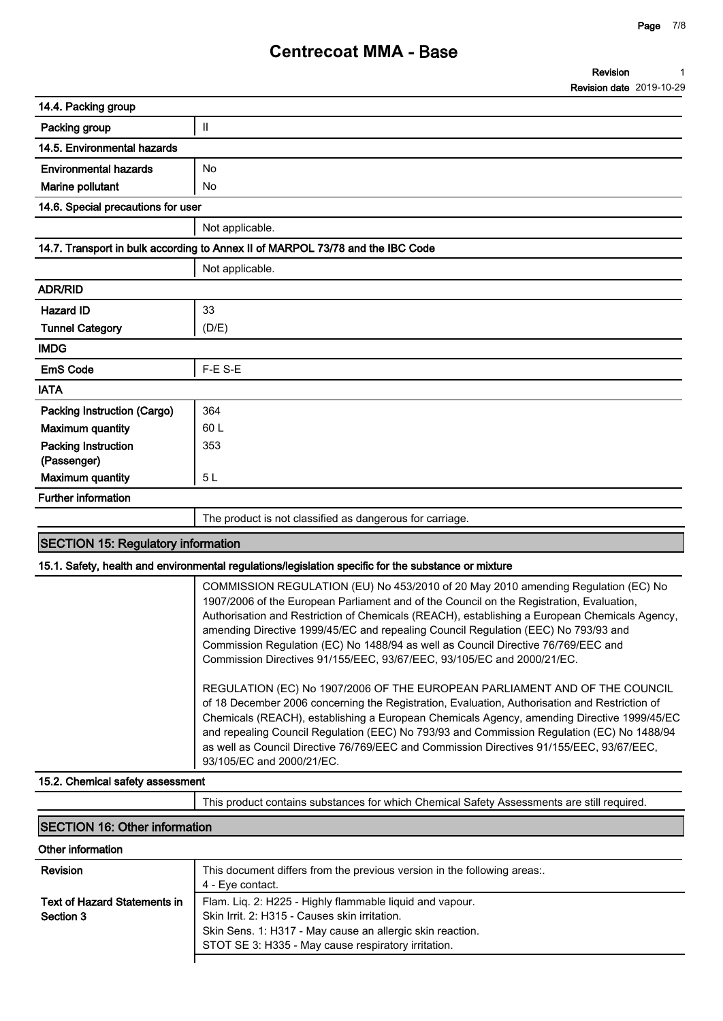| 14.4. Packing group                                                            |                                                          |  |
|--------------------------------------------------------------------------------|----------------------------------------------------------|--|
| Packing group                                                                  | $\ensuremath{\mathsf{II}}$                               |  |
| 14.5. Environmental hazards                                                    |                                                          |  |
| <b>Environmental hazards</b>                                                   | <b>No</b>                                                |  |
| Marine pollutant                                                               | No                                                       |  |
| 14.6. Special precautions for user                                             |                                                          |  |
|                                                                                | Not applicable.                                          |  |
| 14.7. Transport in bulk according to Annex II of MARPOL 73/78 and the IBC Code |                                                          |  |
|                                                                                | Not applicable.                                          |  |
| <b>ADR/RID</b>                                                                 |                                                          |  |
| <b>Hazard ID</b>                                                               | 33                                                       |  |
| <b>Tunnel Category</b>                                                         | (D/E)                                                    |  |
| <b>IMDG</b>                                                                    |                                                          |  |
| <b>EmS Code</b>                                                                | F-E S-E                                                  |  |
| <b>IATA</b>                                                                    |                                                          |  |
| Packing Instruction (Cargo)                                                    | 364                                                      |  |
| <b>Maximum quantity</b>                                                        | 60 L                                                     |  |
| <b>Packing Instruction</b>                                                     | 353                                                      |  |
| (Passenger)                                                                    |                                                          |  |
| <b>Maximum quantity</b>                                                        | 5 <sub>L</sub>                                           |  |
| <b>Further information</b>                                                     |                                                          |  |
|                                                                                | The product is not classified as dangerous for carriage. |  |

## **SECTION 15: Regulatory information**

### **15.1. Safety, health and environmental regulations/legislation specific for the substance or mixture**

| COMMISSION REGULATION (EU) No 453/2010 of 20 May 2010 amending Regulation (EC) No<br>1907/2006 of the European Parliament and of the Council on the Registration, Evaluation,<br>Authorisation and Restriction of Chemicals (REACH), establishing a European Chemicals Agency, |
|--------------------------------------------------------------------------------------------------------------------------------------------------------------------------------------------------------------------------------------------------------------------------------|
| amending Directive 1999/45/EC and repealing Council Regulation (EEC) No 793/93 and                                                                                                                                                                                             |
| Commission Regulation (EC) No 1488/94 as well as Council Directive 76/769/EEC and                                                                                                                                                                                              |
| Commission Directives 91/155/EEC, 93/67/EEC, 93/105/EC and 2000/21/EC.                                                                                                                                                                                                         |
| REGULATION (EC) No 1907/2006 OF THE EUROPEAN PARLIAMENT AND OF THE COUNCIL                                                                                                                                                                                                     |
| of 18 December 2006 concerning the Registration, Evaluation, Authorisation and Restriction of                                                                                                                                                                                  |
| Chemicals (REACH), establishing a European Chemicals Agency, amending Directive 1999/45/EC                                                                                                                                                                                     |
| and repealing Council Regulation (EEC) No 793/93 and Commission Regulation (EC) No 1488/94                                                                                                                                                                                     |
| as well as Council Directive 76/769/EEC and Commission Directives 91/155/EEC, 93/67/EEC,                                                                                                                                                                                       |
| 93/105/EC and 2000/21/EC.                                                                                                                                                                                                                                                      |

### **15.2. Chemical safety assessment**

**This product contains substances for which Chemical Safety Assessments are still required.**

## **SECTION 16: Other information**

 $\overline{1}$ 

| Other information            |                                                                         |
|------------------------------|-------------------------------------------------------------------------|
| Revision                     | This document differs from the previous version in the following areas: |
|                              | 4 - Eye contact.                                                        |
| Text of Hazard Statements in | Flam. Liq. 2: H225 - Highly flammable liquid and vapour.                |
| Section 3                    | Skin Irrit. 2: H315 - Causes skin irritation.                           |
|                              | Skin Sens. 1: H317 - May cause an allergic skin reaction.               |
|                              | STOT SE 3: H335 - May cause respiratory irritation.                     |